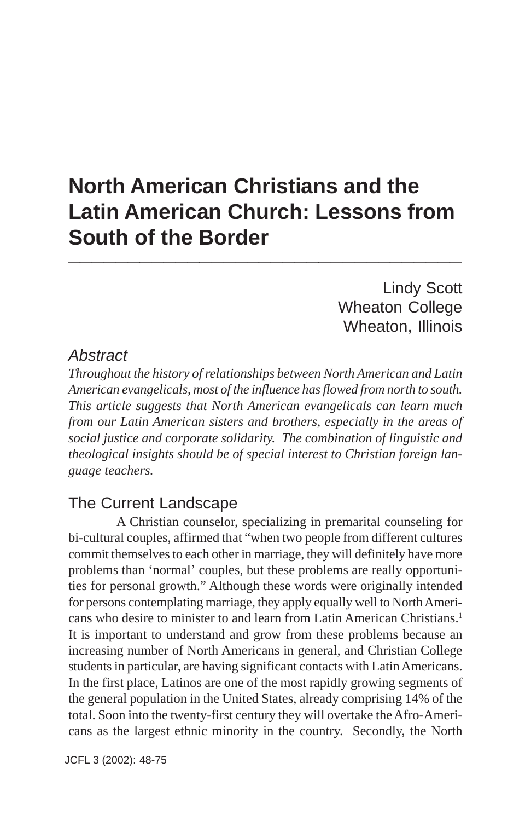# **North American Christians and the Latin American Church: Lessons from South of the Border \_\_\_\_\_\_\_\_\_\_\_\_\_\_\_\_\_\_\_\_\_\_\_\_\_\_\_\_\_\_\_\_\_**

Lindy Scott Wheaton College Wheaton, Illinois

### *Abstract*

*Throughout the history of relationships between North American and Latin American evangelicals, most of the influence has flowed from north to south. This article suggests that North American evangelicals can learn much from our Latin American sisters and brothers, especially in the areas of social justice and corporate solidarity. The combination of linguistic and theological insights should be of special interest to Christian foreign language teachers.*

## The Current Landscape

A Christian counselor, specializing in premarital counseling for bi-cultural couples, affirmed that "when two people from different cultures commit themselves to each other in marriage, they will definitely have more problems than 'normal' couples, but these problems are really opportunities for personal growth." Although these words were originally intended for persons contemplating marriage, they apply equally well to North Americans who desire to minister to and learn from Latin American Christians.1 It is important to understand and grow from these problems because an increasing number of North Americans in general, and Christian College students in particular, are having significant contacts with Latin Americans. In the first place, Latinos are one of the most rapidly growing segments of the general population in the United States, already comprising 14% of the total. Soon into the twenty-first century they will overtake the Afro-Americans as the largest ethnic minority in the country. Secondly, the North

JCFL 3 (2002): 48-75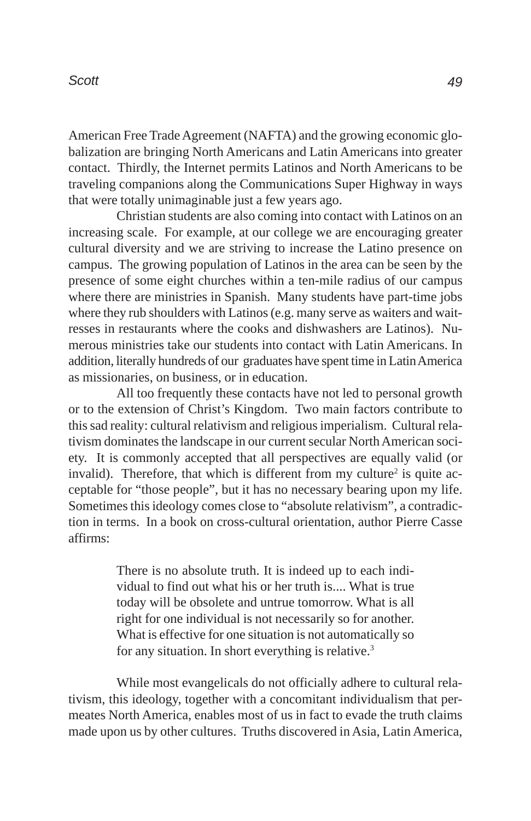American Free Trade Agreement (NAFTA) and the growing economic globalization are bringing North Americans and Latin Americans into greater contact. Thirdly, the Internet permits Latinos and North Americans to be traveling companions along the Communications Super Highway in ways that were totally unimaginable just a few years ago.

Christian students are also coming into contact with Latinos on an increasing scale. For example, at our college we are encouraging greater cultural diversity and we are striving to increase the Latino presence on campus. The growing population of Latinos in the area can be seen by the presence of some eight churches within a ten-mile radius of our campus where there are ministries in Spanish. Many students have part-time jobs where they rub shoulders with Latinos (e.g. many serve as waiters and waitresses in restaurants where the cooks and dishwashers are Latinos). Numerous ministries take our students into contact with Latin Americans. In addition, literally hundreds of our graduates have spent time in Latin America as missionaries, on business, or in education.

All too frequently these contacts have not led to personal growth or to the extension of Christ's Kingdom. Two main factors contribute to this sad reality: cultural relativism and religious imperialism. Cultural relativism dominates the landscape in our current secular North American society. It is commonly accepted that all perspectives are equally valid (or invalid). Therefore, that which is different from my culture<sup>2</sup> is quite acceptable for "those people", but it has no necessary bearing upon my life. Sometimes this ideology comes close to "absolute relativism", a contradiction in terms. In a book on cross-cultural orientation, author Pierre Casse affirms:

> There is no absolute truth. It is indeed up to each individual to find out what his or her truth is.... What is true today will be obsolete and untrue tomorrow. What is all right for one individual is not necessarily so for another. What is effective for one situation is not automatically so for any situation. In short everything is relative.<sup>3</sup>

While most evangelicals do not officially adhere to cultural relativism, this ideology, together with a concomitant individualism that permeates North America, enables most of us in fact to evade the truth claims made upon us by other cultures. Truths discovered in Asia, Latin America,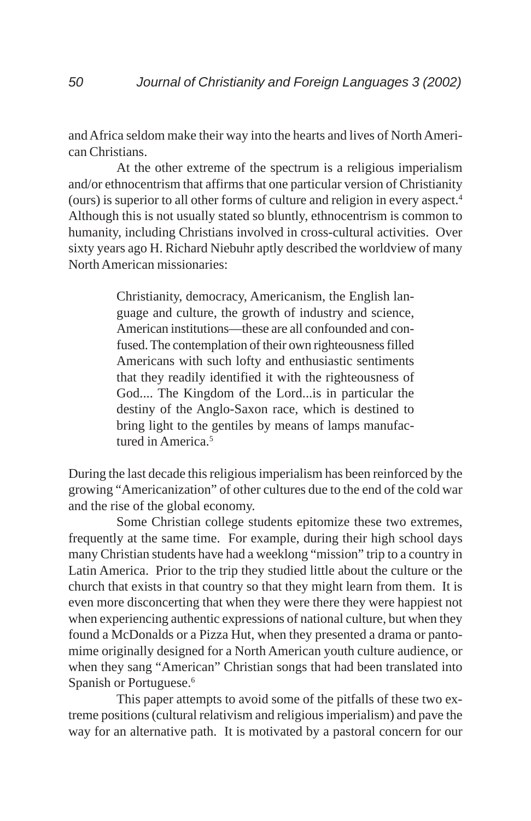and Africa seldom make their way into the hearts and lives of North American Christians.

At the other extreme of the spectrum is a religious imperialism and/or ethnocentrism that affirms that one particular version of Christianity (ours) is superior to all other forms of culture and religion in every aspect.4 Although this is not usually stated so bluntly, ethnocentrism is common to humanity, including Christians involved in cross-cultural activities. Over sixty years ago H. Richard Niebuhr aptly described the worldview of many North American missionaries:

> Christianity, democracy, Americanism, the English language and culture, the growth of industry and science, American institutions—these are all confounded and confused. The contemplation of their own righteousness filled Americans with such lofty and enthusiastic sentiments that they readily identified it with the righteousness of God.... The Kingdom of the Lord...is in particular the destiny of the Anglo-Saxon race, which is destined to bring light to the gentiles by means of lamps manufactured in America.<sup>5</sup>

During the last decade this religious imperialism has been reinforced by the growing "Americanization" of other cultures due to the end of the cold war and the rise of the global economy.

Some Christian college students epitomize these two extremes, frequently at the same time. For example, during their high school days many Christian students have had a weeklong "mission" trip to a country in Latin America. Prior to the trip they studied little about the culture or the church that exists in that country so that they might learn from them. It is even more disconcerting that when they were there they were happiest not when experiencing authentic expressions of national culture, but when they found a McDonalds or a Pizza Hut, when they presented a drama or pantomime originally designed for a North American youth culture audience, or when they sang "American" Christian songs that had been translated into Spanish or Portuguese.<sup>6</sup>

This paper attempts to avoid some of the pitfalls of these two extreme positions (cultural relativism and religious imperialism) and pave the way for an alternative path. It is motivated by a pastoral concern for our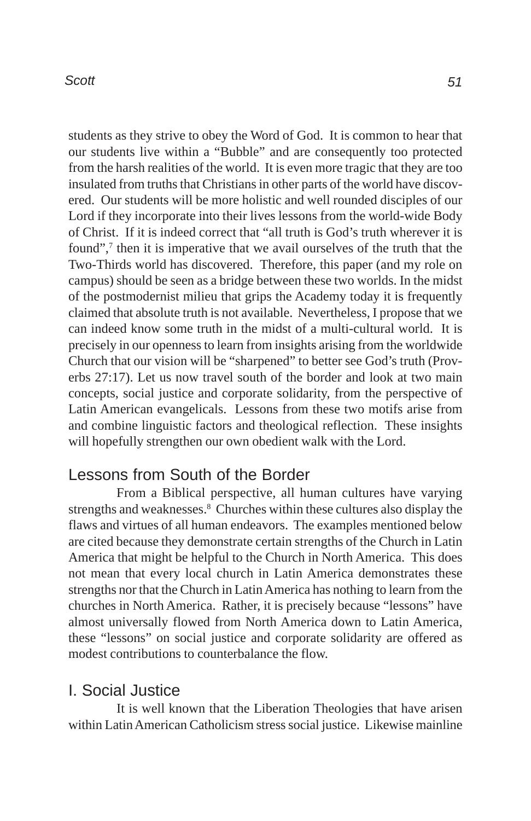students as they strive to obey the Word of God. It is common to hear that our students live within a "Bubble" and are consequently too protected from the harsh realities of the world. It is even more tragic that they are too insulated from truths that Christians in other parts of the world have discovered. Our students will be more holistic and well rounded disciples of our Lord if they incorporate into their lives lessons from the world-wide Body of Christ. If it is indeed correct that "all truth is God's truth wherever it is found",<sup>7</sup> then it is imperative that we avail ourselves of the truth that the Two-Thirds world has discovered. Therefore, this paper (and my role on campus) should be seen as a bridge between these two worlds. In the midst of the postmodernist milieu that grips the Academy today it is frequently claimed that absolute truth is not available. Nevertheless, I propose that we can indeed know some truth in the midst of a multi-cultural world. It is precisely in our openness to learn from insights arising from the worldwide Church that our vision will be "sharpened" to better see God's truth (Proverbs 27:17). Let us now travel south of the border and look at two main concepts, social justice and corporate solidarity, from the perspective of Latin American evangelicals. Lessons from these two motifs arise from and combine linguistic factors and theological reflection. These insights will hopefully strengthen our own obedient walk with the Lord.

## Lessons from South of the Border

From a Biblical perspective, all human cultures have varying strengths and weaknesses.<sup>8</sup> Churches within these cultures also display the flaws and virtues of all human endeavors. The examples mentioned below are cited because they demonstrate certain strengths of the Church in Latin America that might be helpful to the Church in North America. This does not mean that every local church in Latin America demonstrates these strengths nor that the Church in Latin America has nothing to learn from the churches in North America. Rather, it is precisely because "lessons" have almost universally flowed from North America down to Latin America, these "lessons" on social justice and corporate solidarity are offered as modest contributions to counterbalance the flow.

## I. Social Justice

It is well known that the Liberation Theologies that have arisen within Latin American Catholicism stress social justice. Likewise mainline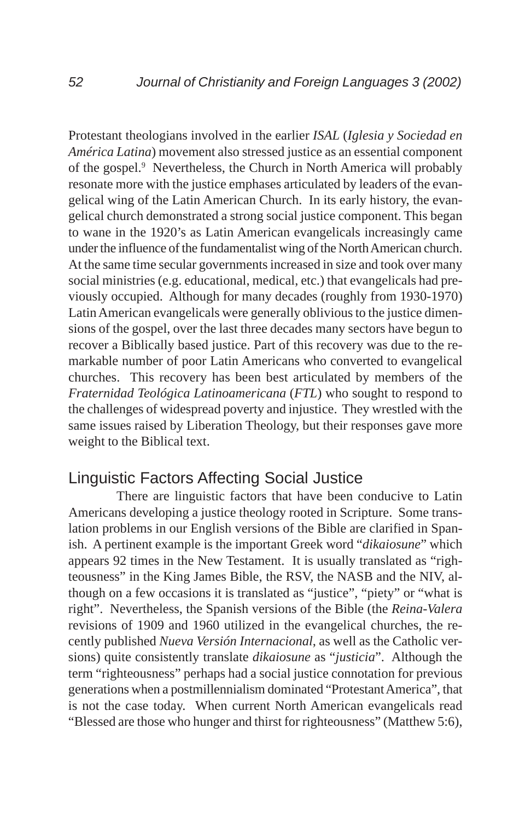Protestant theologians involved in the earlier *ISAL* (*Iglesia y Sociedad en América Latina*) movement also stressed justice as an essential component of the gospel.<sup>9</sup> Nevertheless, the Church in North America will probably resonate more with the justice emphases articulated by leaders of the evangelical wing of the Latin American Church. In its early history, the evangelical church demonstrated a strong social justice component. This began to wane in the 1920's as Latin American evangelicals increasingly came under the influence of the fundamentalist wing of the North American church. At the same time secular governments increased in size and took over many social ministries (e.g. educational, medical, etc.) that evangelicals had previously occupied. Although for many decades (roughly from 1930-1970) Latin American evangelicals were generally oblivious to the justice dimensions of the gospel, over the last three decades many sectors have begun to recover a Biblically based justice. Part of this recovery was due to the remarkable number of poor Latin Americans who converted to evangelical churches. This recovery has been best articulated by members of the *Fraternidad Teológica Latinoamericana* (*FTL*) who sought to respond to the challenges of widespread poverty and injustice. They wrestled with the same issues raised by Liberation Theology, but their responses gave more weight to the Biblical text.

## Linguistic Factors Affecting Social Justice

There are linguistic factors that have been conducive to Latin Americans developing a justice theology rooted in Scripture. Some translation problems in our English versions of the Bible are clarified in Spanish. A pertinent example is the important Greek word "*dikaiosune*" which appears 92 times in the New Testament. It is usually translated as "righteousness" in the King James Bible, the RSV, the NASB and the NIV, although on a few occasions it is translated as "justice", "piety" or "what is right". Nevertheless, the Spanish versions of the Bible (the *Reina-Valera* revisions of 1909 and 1960 utilized in the evangelical churches, the recently published *Nueva Versión Internacional*, as well as the Catholic versions) quite consistently translate *dikaiosune* as "*justicia*". Although the term "righteousness" perhaps had a social justice connotation for previous generations when a postmillennialism dominated "Protestant America", that is not the case today. When current North American evangelicals read "Blessed are those who hunger and thirst for righteousness" (Matthew 5:6),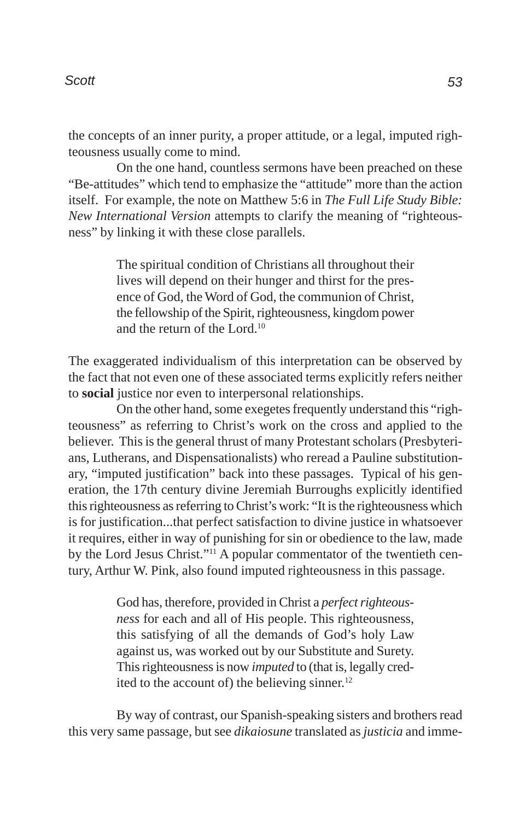the concepts of an inner purity, a proper attitude, or a legal, imputed righteousness usually come to mind.

On the one hand, countless sermons have been preached on these "Be-attitudes" which tend to emphasize the "attitude" more than the action itself. For example, the note on Matthew 5:6 in *The Full Life Study Bible: New International Version* attempts to clarify the meaning of "righteousness" by linking it with these close parallels.

> The spiritual condition of Christians all throughout their lives will depend on their hunger and thirst for the presence of God, the Word of God, the communion of Christ, the fellowship of the Spirit, righteousness, kingdom power and the return of the Lord.10

The exaggerated individualism of this interpretation can be observed by the fact that not even one of these associated terms explicitly refers neither to **social** justice nor even to interpersonal relationships.

On the other hand, some exegetes frequently understand this "righteousness" as referring to Christ's work on the cross and applied to the believer. This is the general thrust of many Protestant scholars (Presbyterians, Lutherans, and Dispensationalists) who reread a Pauline substitutionary, "imputed justification" back into these passages. Typical of his generation, the 17th century divine Jeremiah Burroughs explicitly identified this righteousness as referring to Christ's work: "It is the righteousness which is for justification...that perfect satisfaction to divine justice in whatsoever it requires, either in way of punishing for sin or obedience to the law, made by the Lord Jesus Christ."11 A popular commentator of the twentieth century, Arthur W. Pink, also found imputed righteousness in this passage.

> God has, therefore, provided in Christ a *perfect righteousness* for each and all of His people. This righteousness, this satisfying of all the demands of God's holy Law against us, was worked out by our Substitute and Surety. This righteousness is now *imputed* to (that is, legally credited to the account of) the believing sinner.<sup>12</sup>

By way of contrast, our Spanish-speaking sisters and brothers read this very same passage, but see *dikaiosune* translated as *justicia* and imme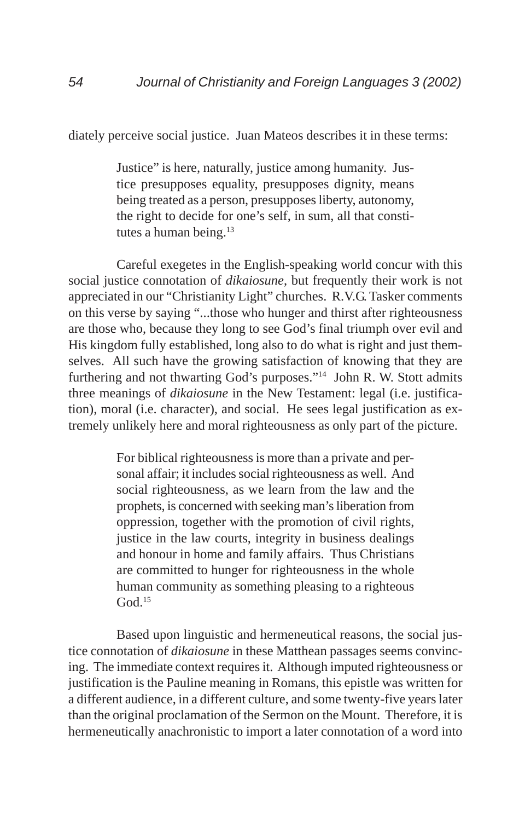diately perceive social justice. Juan Mateos describes it in these terms:

Justice" is here, naturally, justice among humanity. Justice presupposes equality, presupposes dignity, means being treated as a person, presupposes liberty, autonomy, the right to decide for one's self, in sum, all that constitutes a human being.<sup>13</sup>

Careful exegetes in the English-speaking world concur with this social justice connotation of *dikaiosune*, but frequently their work is not appreciated in our "Christianity Light" churches. R.V.G. Tasker comments on this verse by saying "...those who hunger and thirst after righteousness are those who, because they long to see God's final triumph over evil and His kingdom fully established, long also to do what is right and just themselves. All such have the growing satisfaction of knowing that they are furthering and not thwarting God's purposes."14 John R. W. Stott admits three meanings of *dikaiosune* in the New Testament: legal (i.e. justification), moral (i.e. character), and social. He sees legal justification as extremely unlikely here and moral righteousness as only part of the picture.

> For biblical righteousness is more than a private and personal affair; it includes social righteousness as well. And social righteousness, as we learn from the law and the prophets, is concerned with seeking man's liberation from oppression, together with the promotion of civil rights, justice in the law courts, integrity in business dealings and honour in home and family affairs. Thus Christians are committed to hunger for righteousness in the whole human community as something pleasing to a righteous  $God.$ <sup>15</sup>

Based upon linguistic and hermeneutical reasons, the social justice connotation of *dikaiosune* in these Matthean passages seems convincing. The immediate context requires it. Although imputed righteousness or justification is the Pauline meaning in Romans, this epistle was written for a different audience, in a different culture, and some twenty-five years later than the original proclamation of the Sermon on the Mount. Therefore, it is hermeneutically anachronistic to import a later connotation of a word into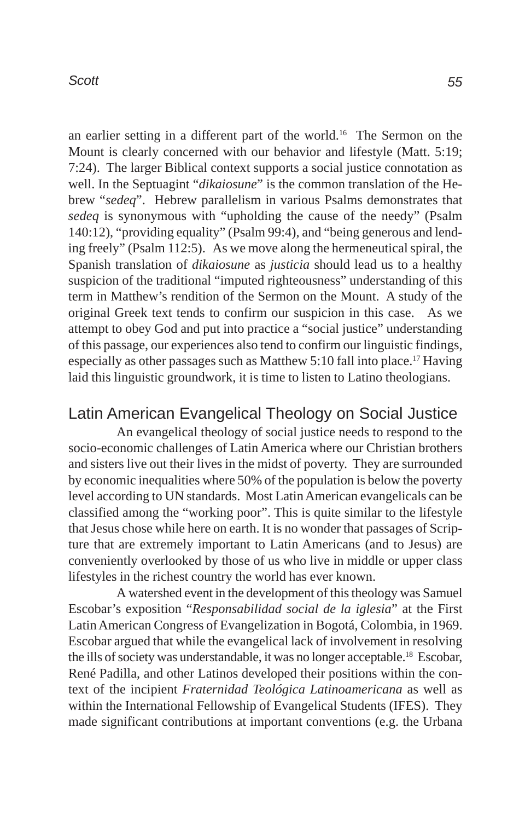an earlier setting in a different part of the world.16 The Sermon on the Mount is clearly concerned with our behavior and lifestyle (Matt. 5:19; 7:24). The larger Biblical context supports a social justice connotation as well. In the Septuagint "*dikaiosune*" is the common translation of the Hebrew "*sedeq*". Hebrew parallelism in various Psalms demonstrates that *sedeq* is synonymous with "upholding the cause of the needy" (Psalm 140:12), "providing equality" (Psalm 99:4), and "being generous and lending freely" (Psalm 112:5). As we move along the hermeneutical spiral, the Spanish translation of *dikaiosune* as *justicia* should lead us to a healthy suspicion of the traditional "imputed righteousness" understanding of this term in Matthew's rendition of the Sermon on the Mount. A study of the original Greek text tends to confirm our suspicion in this case. As we attempt to obey God and put into practice a "social justice" understanding of this passage, our experiences also tend to confirm our linguistic findings, especially as other passages such as Matthew 5:10 fall into place.17 Having laid this linguistic groundwork, it is time to listen to Latino theologians.

## Latin American Evangelical Theology on Social Justice

An evangelical theology of social justice needs to respond to the socio-economic challenges of Latin America where our Christian brothers and sisters live out their lives in the midst of poverty. They are surrounded by economic inequalities where 50% of the population is below the poverty level according to UN standards. Most Latin American evangelicals can be classified among the "working poor". This is quite similar to the lifestyle that Jesus chose while here on earth. It is no wonder that passages of Scripture that are extremely important to Latin Americans (and to Jesus) are conveniently overlooked by those of us who live in middle or upper class lifestyles in the richest country the world has ever known.

A watershed event in the development of this theology was Samuel Escobar's exposition "*Responsabilidad social de la iglesia*" at the First Latin American Congress of Evangelization in Bogotá, Colombia, in 1969. Escobar argued that while the evangelical lack of involvement in resolving the ills of society was understandable, it was no longer acceptable.18 Escobar, René Padilla, and other Latinos developed their positions within the context of the incipient *Fraternidad Teológica Latinoamericana* as well as within the International Fellowship of Evangelical Students (IFES). They made significant contributions at important conventions (e.g. the Urbana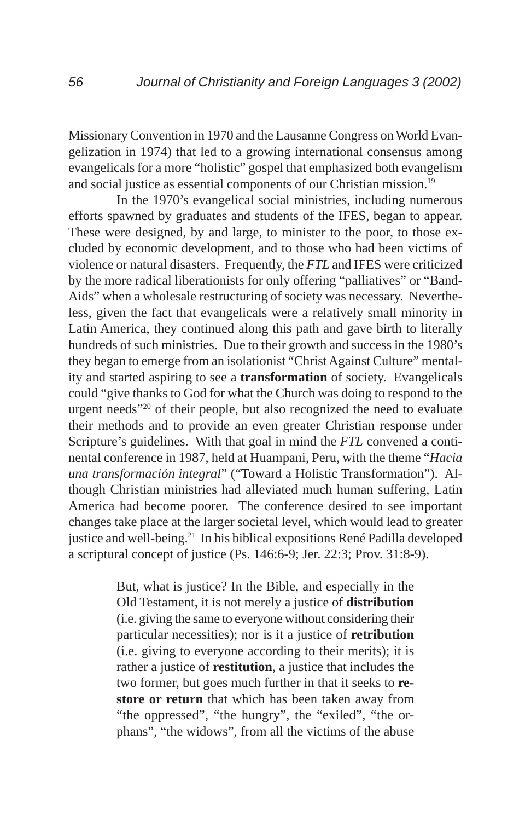Missionary Convention in 1970 and the Lausanne Congress on World Evangelization in 1974) that led to a growing international consensus among evangelicals for a more "holistic" gospel that emphasized both evangelism and social justice as essential components of our Christian mission.<sup>19</sup>

In the 1970's evangelical social ministries, including numerous efforts spawned by graduates and students of the IFES, began to appear. These were designed, by and large, to minister to the poor, to those excluded by economic development, and to those who had been victims of violence or natural disasters. Frequently, the *FTL* and IFES were criticized by the more radical liberationists for only offering "palliatives" or "Band-Aids" when a wholesale restructuring of society was necessary. Nevertheless, given the fact that evangelicals were a relatively small minority in Latin America, they continued along this path and gave birth to literally hundreds of such ministries. Due to their growth and success in the 1980's they began to emerge from an isolationist "Christ Against Culture" mentality and started aspiring to see a **transformation** of society. Evangelicals could "give thanks to God for what the Church was doing to respond to the urgent needs"20 of their people, but also recognized the need to evaluate their methods and to provide an even greater Christian response under Scripture's guidelines. With that goal in mind the *FTL* convened a continental conference in 1987, held at Huampani, Peru, with the theme "*Hacia una transformación integral*" ("Toward a Holistic Transformation"). Although Christian ministries had alleviated much human suffering, Latin America had become poorer. The conference desired to see important changes take place at the larger societal level, which would lead to greater justice and well-being.<sup>21</sup> In his biblical expositions René Padilla developed a scriptural concept of justice (Ps. 146:6-9; Jer. 22:3; Prov. 31:8-9).

> But, what is justice? In the Bible, and especially in the Old Testament, it is not merely a justice of **distribution** (i.e. giving the same to everyone without considering their particular necessities); nor is it a justice of **retribution** (i.e. giving to everyone according to their merits); it is rather a justice of **restitution**, a justice that includes the two former, but goes much further in that it seeks to **restore or return** that which has been taken away from "the oppressed", "the hungry", the "exiled", "the orphans", "the widows", from all the victims of the abuse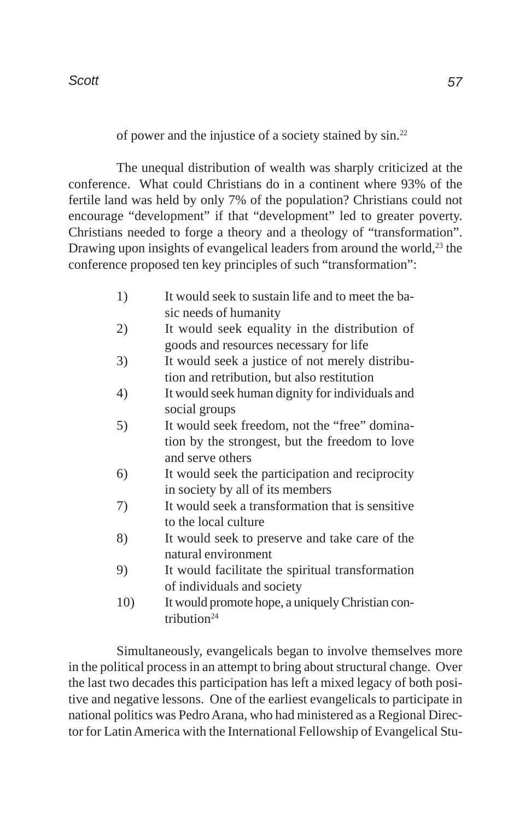of power and the injustice of a society stained by sin.22

The unequal distribution of wealth was sharply criticized at the conference. What could Christians do in a continent where 93% of the fertile land was held by only 7% of the population? Christians could not encourage "development" if that "development" led to greater poverty. Christians needed to forge a theory and a theology of "transformation". Drawing upon insights of evangelical leaders from around the world, $^{23}$  the conference proposed ten key principles of such "transformation":

- 1) It would seek to sustain life and to meet the basic needs of humanity
- 2) It would seek equality in the distribution of goods and resources necessary for life
- 3) It would seek a justice of not merely distribution and retribution, but also restitution
- 4) It would seek human dignity for individuals and social groups
- 5) It would seek freedom, not the "free" domination by the strongest, but the freedom to love and serve others
- 6) It would seek the participation and reciprocity in society by all of its members
- 7) It would seek a transformation that is sensitive to the local culture
- 8) It would seek to preserve and take care of the natural environment
- 9) It would facilitate the spiritual transformation of individuals and society
- 10) It would promote hope, a uniquely Christian contribution<sup>24</sup>

Simultaneously, evangelicals began to involve themselves more in the political process in an attempt to bring about structural change. Over the last two decades this participation has left a mixed legacy of both positive and negative lessons. One of the earliest evangelicals to participate in national politics was Pedro Arana, who had ministered as a Regional Director for Latin America with the International Fellowship of Evangelical Stu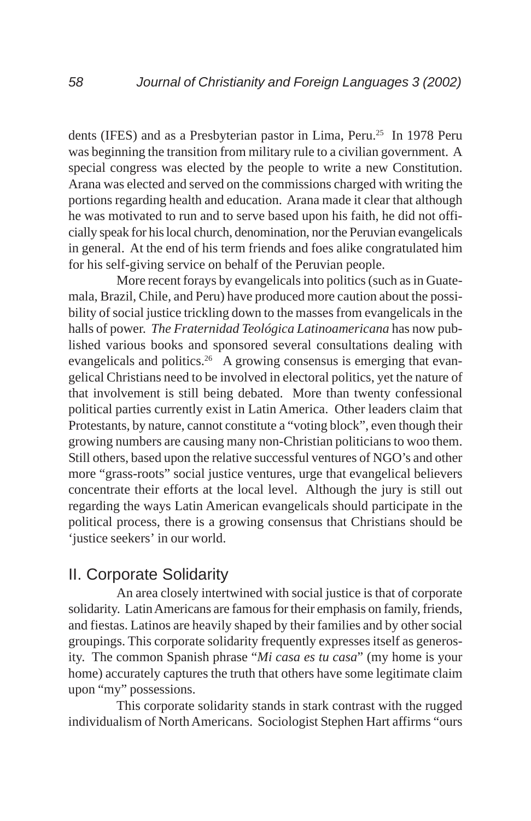dents (IFES) and as a Presbyterian pastor in Lima, Peru.<sup>25</sup> In 1978 Peru was beginning the transition from military rule to a civilian government. A special congress was elected by the people to write a new Constitution. Arana was elected and served on the commissions charged with writing the portions regarding health and education. Arana made it clear that although he was motivated to run and to serve based upon his faith, he did not officially speak for his local church, denomination, nor the Peruvian evangelicals in general. At the end of his term friends and foes alike congratulated him for his self-giving service on behalf of the Peruvian people.

More recent forays by evangelicals into politics (such as in Guatemala, Brazil, Chile, and Peru) have produced more caution about the possibility of social justice trickling down to the masses from evangelicals in the halls of power. *The Fraternidad Teológica Latinoamericana* has now published various books and sponsored several consultations dealing with evangelicals and politics.<sup>26</sup> A growing consensus is emerging that evangelical Christians need to be involved in electoral politics, yet the nature of that involvement is still being debated. More than twenty confessional political parties currently exist in Latin America. Other leaders claim that Protestants, by nature, cannot constitute a "voting block", even though their growing numbers are causing many non-Christian politicians to woo them. Still others, based upon the relative successful ventures of NGO's and other more "grass-roots" social justice ventures, urge that evangelical believers concentrate their efforts at the local level. Although the jury is still out regarding the ways Latin American evangelicals should participate in the political process, there is a growing consensus that Christians should be 'justice seekers' in our world.

## II. Corporate Solidarity

An area closely intertwined with social justice is that of corporate solidarity. Latin Americans are famous for their emphasis on family, friends, and fiestas. Latinos are heavily shaped by their families and by other social groupings. This corporate solidarity frequently expresses itself as generosity. The common Spanish phrase "*Mi casa es tu casa*" (my home is your home) accurately captures the truth that others have some legitimate claim upon "my" possessions.

This corporate solidarity stands in stark contrast with the rugged individualism of North Americans. Sociologist Stephen Hart affirms "ours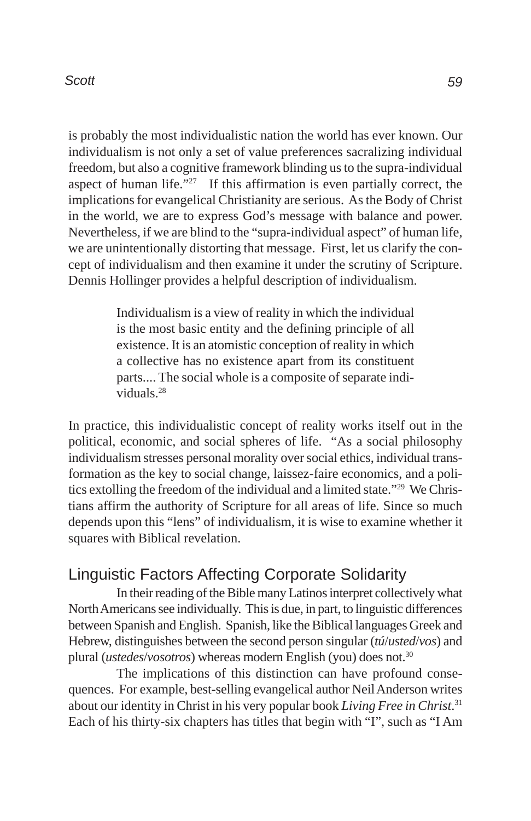is probably the most individualistic nation the world has ever known. Our individualism is not only a set of value preferences sacralizing individual freedom, but also a cognitive framework blinding us to the supra-individual aspect of human life."27 If this affirmation is even partially correct, the implications for evangelical Christianity are serious. As the Body of Christ in the world, we are to express God's message with balance and power. Nevertheless, if we are blind to the "supra-individual aspect" of human life, we are unintentionally distorting that message. First, let us clarify the concept of individualism and then examine it under the scrutiny of Scripture. Dennis Hollinger provides a helpful description of individualism.

> Individualism is a view of reality in which the individual is the most basic entity and the defining principle of all existence. It is an atomistic conception of reality in which a collective has no existence apart from its constituent parts.... The social whole is a composite of separate individuals.28

In practice, this individualistic concept of reality works itself out in the political, economic, and social spheres of life. "As a social philosophy individualism stresses personal morality over social ethics, individual transformation as the key to social change, laissez-faire economics, and a politics extolling the freedom of the individual and a limited state."29 We Christians affirm the authority of Scripture for all areas of life. Since so much depends upon this "lens" of individualism, it is wise to examine whether it squares with Biblical revelation.

## Linguistic Factors Affecting Corporate Solidarity

In their reading of the Bible many Latinos interpret collectively what North Americans see individually. This is due, in part, to linguistic differences between Spanish and English. Spanish, like the Biblical languages Greek and Hebrew, distinguishes between the second person singular (*tú*/*usted*/*vos*) and plural (*ustedes*/*vosotros*) whereas modern English (you) does not.30

The implications of this distinction can have profound consequences. For example, best-selling evangelical author Neil Anderson writes about our identity in Christ in his very popular book *Living Free in Christ*. 31 Each of his thirty-six chapters has titles that begin with "I", such as "I Am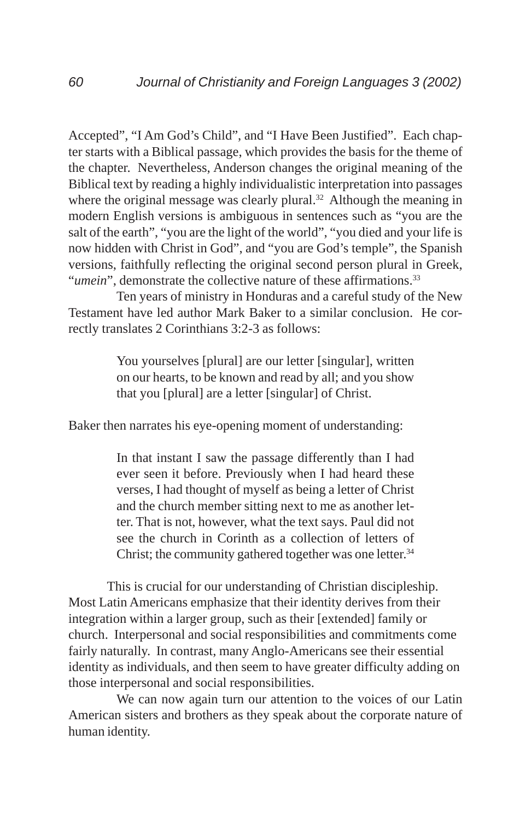Accepted", "I Am God's Child", and "I Have Been Justified". Each chapter starts with a Biblical passage, which provides the basis for the theme of the chapter. Nevertheless, Anderson changes the original meaning of the Biblical text by reading a highly individualistic interpretation into passages where the original message was clearly plural.<sup>32</sup> Although the meaning in modern English versions is ambiguous in sentences such as "you are the salt of the earth", "you are the light of the world", "you died and your life is now hidden with Christ in God", and "you are God's temple", the Spanish versions, faithfully reflecting the original second person plural in Greek, "*umein*", demonstrate the collective nature of these affirmations.<sup>33</sup>

Ten years of ministry in Honduras and a careful study of the New Testament have led author Mark Baker to a similar conclusion. He correctly translates 2 Corinthians 3:2-3 as follows:

> You yourselves [plural] are our letter [singular], written on our hearts, to be known and read by all; and you show that you [plural] are a letter [singular] of Christ.

Baker then narrates his eye-opening moment of understanding:

In that instant I saw the passage differently than I had ever seen it before. Previously when I had heard these verses, I had thought of myself as being a letter of Christ and the church member sitting next to me as another letter. That is not, however, what the text says. Paul did not see the church in Corinth as a collection of letters of Christ; the community gathered together was one letter.<sup>34</sup>

This is crucial for our understanding of Christian discipleship. Most Latin Americans emphasize that their identity derives from their integration within a larger group, such as their [extended] family or church. Interpersonal and social responsibilities and commitments come fairly naturally. In contrast, many Anglo-Americans see their essential identity as individuals, and then seem to have greater difficulty adding on those interpersonal and social responsibilities.

We can now again turn our attention to the voices of our Latin American sisters and brothers as they speak about the corporate nature of human identity.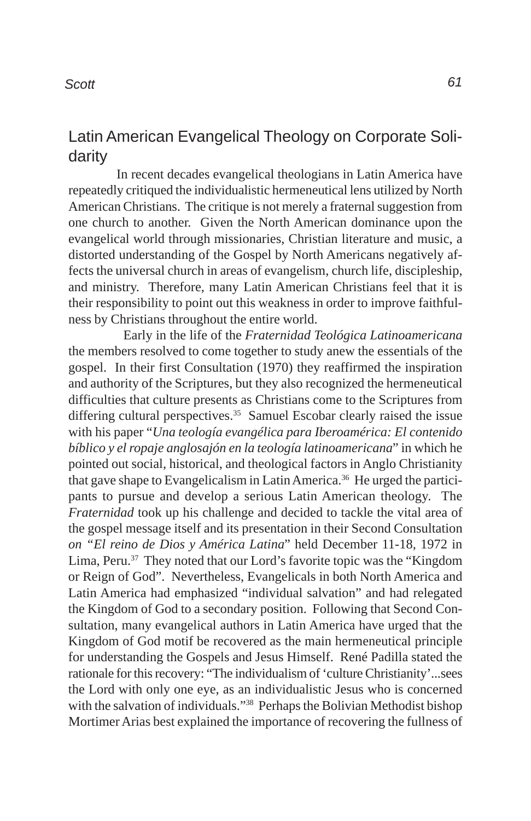# Latin American Evangelical Theology on Corporate Solidarity

In recent decades evangelical theologians in Latin America have repeatedly critiqued the individualistic hermeneutical lens utilized by North American Christians. The critique is not merely a fraternal suggestion from one church to another. Given the North American dominance upon the evangelical world through missionaries, Christian literature and music, a distorted understanding of the Gospel by North Americans negatively affects the universal church in areas of evangelism, church life, discipleship, and ministry. Therefore, many Latin American Christians feel that it is their responsibility to point out this weakness in order to improve faithfulness by Christians throughout the entire world.

 Early in the life of the *Fraternidad Teológica Latinoamericana* the members resolved to come together to study anew the essentials of the gospel. In their first Consultation (1970) they reaffirmed the inspiration and authority of the Scriptures, but they also recognized the hermeneutical difficulties that culture presents as Christians come to the Scriptures from differing cultural perspectives.<sup>35</sup> Samuel Escobar clearly raised the issue with his paper "*Una teología evangélica para Iberoamérica: El contenido bíblico y el ropaje anglosajón en la teología latinoamericana*" in which he pointed out social, historical, and theological factors in Anglo Christianity that gave shape to Evangelicalism in Latin America.<sup>36</sup> He urged the participants to pursue and develop a serious Latin American theology. The *Fraternidad* took up his challenge and decided to tackle the vital area of the gospel message itself and its presentation in their Second Consultation *on "El reino de Dios y América Latina*" held December 11-18, 1972 in Lima, Peru.37 They noted that our Lord's favorite topic was the "Kingdom or Reign of God". Nevertheless, Evangelicals in both North America and Latin America had emphasized "individual salvation" and had relegated the Kingdom of God to a secondary position. Following that Second Consultation, many evangelical authors in Latin America have urged that the Kingdom of God motif be recovered as the main hermeneutical principle for understanding the Gospels and Jesus Himself. René Padilla stated the rationale for this recovery: "The individualism of 'culture Christianity'...sees the Lord with only one eye, as an individualistic Jesus who is concerned with the salvation of individuals."38 Perhaps the Bolivian Methodist bishop Mortimer Arias best explained the importance of recovering the fullness of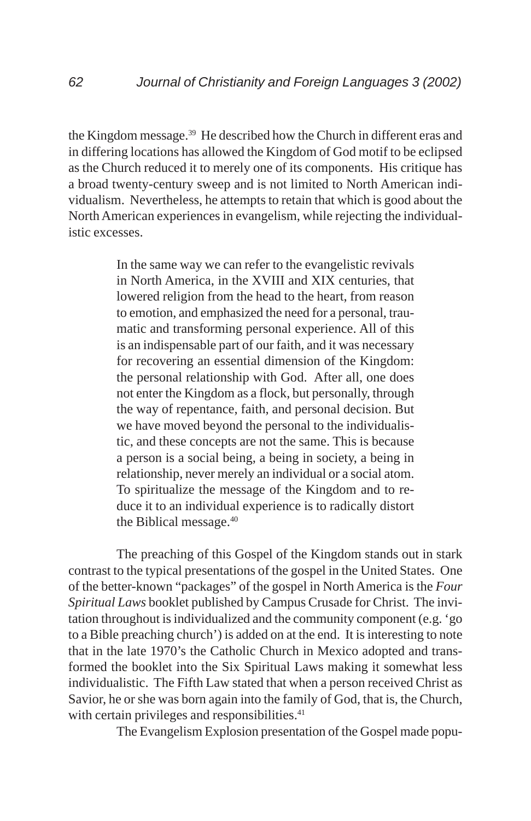the Kingdom message.39 He described how the Church in different eras and in differing locations has allowed the Kingdom of God motif to be eclipsed as the Church reduced it to merely one of its components. His critique has a broad twenty-century sweep and is not limited to North American individualism. Nevertheless, he attempts to retain that which is good about the North American experiences in evangelism, while rejecting the individualistic excesses.

> In the same way we can refer to the evangelistic revivals in North America, in the XVIII and XIX centuries, that lowered religion from the head to the heart, from reason to emotion, and emphasized the need for a personal, traumatic and transforming personal experience. All of this is an indispensable part of our faith, and it was necessary for recovering an essential dimension of the Kingdom: the personal relationship with God. After all, one does not enter the Kingdom as a flock, but personally, through the way of repentance, faith, and personal decision. But we have moved beyond the personal to the individualistic, and these concepts are not the same. This is because a person is a social being, a being in society, a being in relationship, never merely an individual or a social atom. To spiritualize the message of the Kingdom and to reduce it to an individual experience is to radically distort the Biblical message.40

The preaching of this Gospel of the Kingdom stands out in stark contrast to the typical presentations of the gospel in the United States. One of the better-known "packages" of the gospel in North America is the *Four Spiritual Laws* booklet published by Campus Crusade for Christ. The invitation throughout is individualized and the community component (e.g. 'go to a Bible preaching church') is added on at the end. It is interesting to note that in the late 1970's the Catholic Church in Mexico adopted and transformed the booklet into the Six Spiritual Laws making it somewhat less individualistic. The Fifth Law stated that when a person received Christ as Savior, he or she was born again into the family of God, that is, the Church, with certain privileges and responsibilities.<sup>41</sup>

The Evangelism Explosion presentation of the Gospel made popu-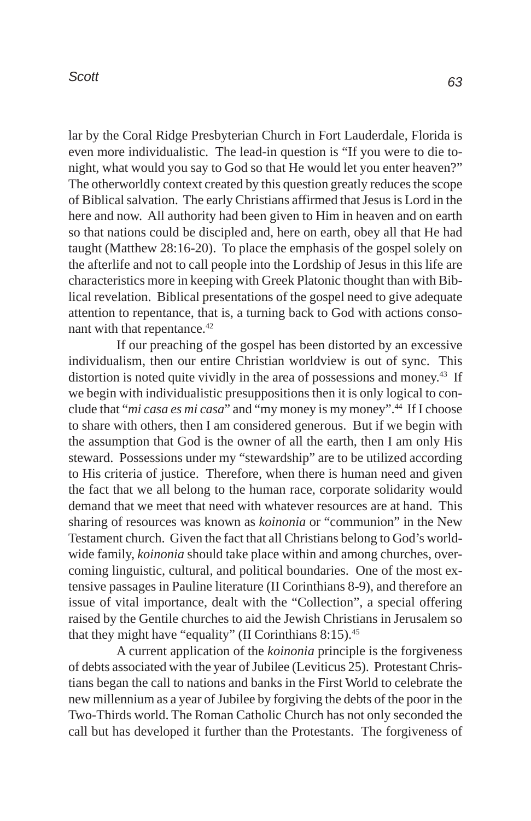lar by the Coral Ridge Presbyterian Church in Fort Lauderdale, Florida is even more individualistic. The lead-in question is "If you were to die tonight, what would you say to God so that He would let you enter heaven?" The otherworldly context created by this question greatly reduces the scope of Biblical salvation. The early Christians affirmed that Jesus is Lord in the here and now. All authority had been given to Him in heaven and on earth so that nations could be discipled and, here on earth, obey all that He had taught (Matthew 28:16-20). To place the emphasis of the gospel solely on the afterlife and not to call people into the Lordship of Jesus in this life are characteristics more in keeping with Greek Platonic thought than with Biblical revelation. Biblical presentations of the gospel need to give adequate attention to repentance, that is, a turning back to God with actions consonant with that repentance.<sup>42</sup>

If our preaching of the gospel has been distorted by an excessive individualism, then our entire Christian worldview is out of sync. This distortion is noted quite vividly in the area of possessions and money.<sup>43</sup> If we begin with individualistic presuppositions then it is only logical to conclude that "*mi casa es mi casa*" and "my money is my money".44 If I choose to share with others, then I am considered generous. But if we begin with the assumption that God is the owner of all the earth, then I am only His steward. Possessions under my "stewardship" are to be utilized according to His criteria of justice. Therefore, when there is human need and given the fact that we all belong to the human race, corporate solidarity would demand that we meet that need with whatever resources are at hand. This sharing of resources was known as *koinonia* or "communion" in the New Testament church. Given the fact that all Christians belong to God's worldwide family, *koinonia* should take place within and among churches, overcoming linguistic, cultural, and political boundaries. One of the most extensive passages in Pauline literature (II Corinthians 8-9), and therefore an issue of vital importance, dealt with the "Collection", a special offering raised by the Gentile churches to aid the Jewish Christians in Jerusalem so that they might have "equality" (II Corinthians 8:15).<sup>45</sup>

A current application of the *koinonia* principle is the forgiveness of debts associated with the year of Jubilee (Leviticus 25). Protestant Christians began the call to nations and banks in the First World to celebrate the new millennium as a year of Jubilee by forgiving the debts of the poor in the Two-Thirds world. The Roman Catholic Church has not only seconded the call but has developed it further than the Protestants. The forgiveness of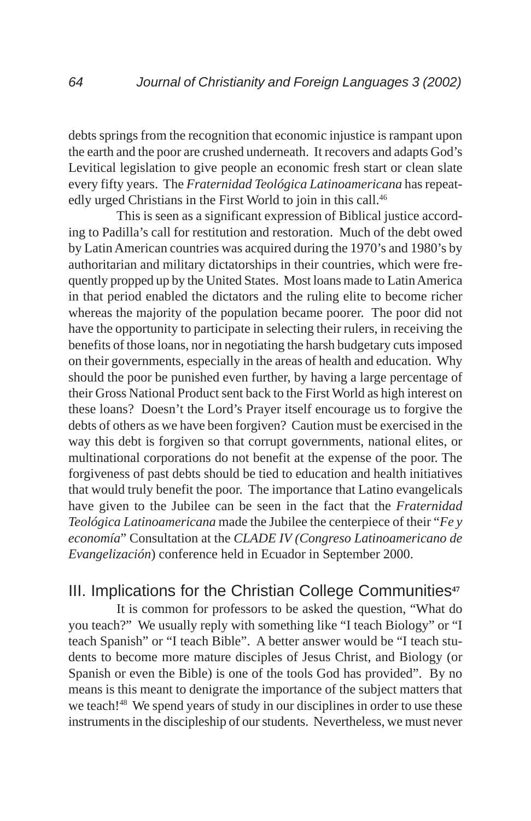debts springs from the recognition that economic injustice is rampant upon the earth and the poor are crushed underneath. It recovers and adapts God's Levitical legislation to give people an economic fresh start or clean slate every fifty years. The *Fraternidad Teológica Latinoamericana* has repeatedly urged Christians in the First World to join in this call.<sup>46</sup>

This is seen as a significant expression of Biblical justice according to Padilla's call for restitution and restoration. Much of the debt owed by Latin American countries was acquired during the 1970's and 1980's by authoritarian and military dictatorships in their countries, which were frequently propped up by the United States. Most loans made to Latin America in that period enabled the dictators and the ruling elite to become richer whereas the majority of the population became poorer. The poor did not have the opportunity to participate in selecting their rulers, in receiving the benefits of those loans, nor in negotiating the harsh budgetary cuts imposed on their governments, especially in the areas of health and education. Why should the poor be punished even further, by having a large percentage of their Gross National Product sent back to the First World as high interest on these loans? Doesn't the Lord's Prayer itself encourage us to forgive the debts of others as we have been forgiven? Caution must be exercised in the way this debt is forgiven so that corrupt governments, national elites, or multinational corporations do not benefit at the expense of the poor. The forgiveness of past debts should be tied to education and health initiatives that would truly benefit the poor. The importance that Latino evangelicals have given to the Jubilee can be seen in the fact that the *Fraternidad Teológica Latinoamericana* made the Jubilee the centerpiece of their "*Fe y economía*" Consultation at the *CLADE IV (Congreso Latinoamericano de Evangelización*) conference held in Ecuador in September 2000.

# III. Implications for the Christian College Communities**<sup>47</sup>**

It is common for professors to be asked the question, "What do you teach?" We usually reply with something like "I teach Biology" or "I teach Spanish" or "I teach Bible". A better answer would be "I teach students to become more mature disciples of Jesus Christ, and Biology (or Spanish or even the Bible) is one of the tools God has provided". By no means is this meant to denigrate the importance of the subject matters that we teach!<sup>48</sup> We spend years of study in our disciplines in order to use these instruments in the discipleship of our students. Nevertheless, we must never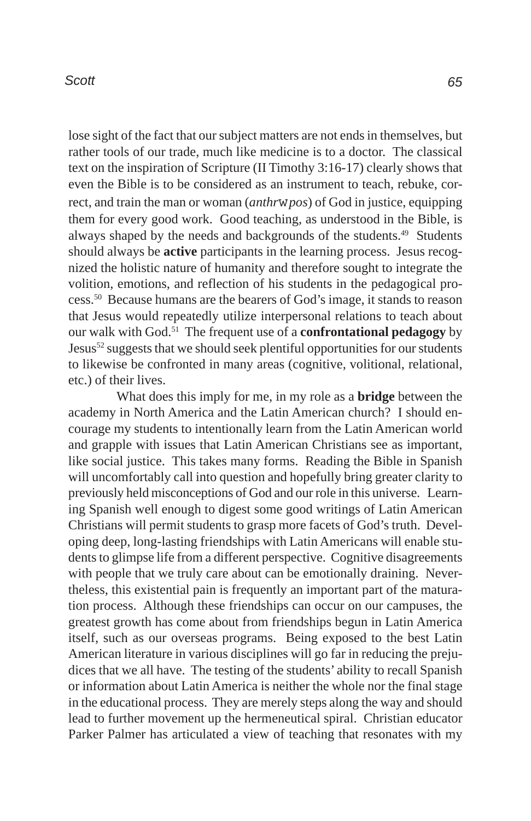lose sight of the fact that our subject matters are not ends in themselves, but rather tools of our trade, much like medicine is to a doctor. The classical text on the inspiration of Scripture (II Timothy 3:16-17) clearly shows that even the Bible is to be considered as an instrument to teach, rebuke, correct, and train the man or woman (*anthr*w*pos*) of God in justice, equipping them for every good work. Good teaching, as understood in the Bible, is always shaped by the needs and backgrounds of the students.<sup>49</sup> Students should always be **active** participants in the learning process. Jesus recognized the holistic nature of humanity and therefore sought to integrate the volition, emotions, and reflection of his students in the pedagogical process.50 Because humans are the bearers of God's image, it stands to reason that Jesus would repeatedly utilize interpersonal relations to teach about our walk with God.51 The frequent use of a **confrontational pedagogy** by Jesus52 suggests that we should seek plentiful opportunities for our students to likewise be confronted in many areas (cognitive, volitional, relational, etc.) of their lives.

What does this imply for me, in my role as a **bridge** between the academy in North America and the Latin American church? I should encourage my students to intentionally learn from the Latin American world and grapple with issues that Latin American Christians see as important, like social justice. This takes many forms. Reading the Bible in Spanish will uncomfortably call into question and hopefully bring greater clarity to previously held misconceptions of God and our role in this universe. Learning Spanish well enough to digest some good writings of Latin American Christians will permit students to grasp more facets of God's truth. Developing deep, long-lasting friendships with Latin Americans will enable students to glimpse life from a different perspective. Cognitive disagreements with people that we truly care about can be emotionally draining. Nevertheless, this existential pain is frequently an important part of the maturation process. Although these friendships can occur on our campuses, the greatest growth has come about from friendships begun in Latin America itself, such as our overseas programs. Being exposed to the best Latin American literature in various disciplines will go far in reducing the prejudices that we all have. The testing of the students' ability to recall Spanish or information about Latin America is neither the whole nor the final stage in the educational process. They are merely steps along the way and should lead to further movement up the hermeneutical spiral. Christian educator Parker Palmer has articulated a view of teaching that resonates with my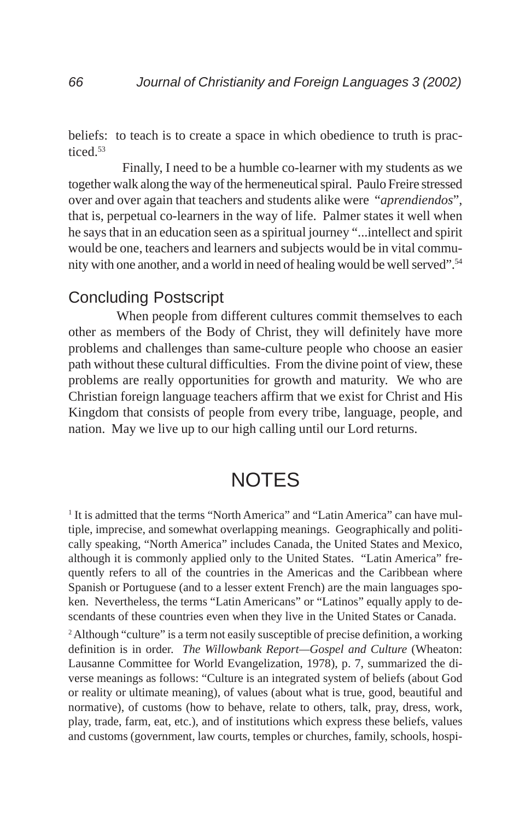beliefs: to teach is to create a space in which obedience to truth is practiced.53

 Finally, I need to be a humble co-learner with my students as we together walk along the way of the hermeneutical spiral. Paulo Freire stressed over and over again that teachers and students alike were "*aprendiendos*", that is, perpetual co-learners in the way of life. Palmer states it well when he says that in an education seen as a spiritual journey "...intellect and spirit would be one, teachers and learners and subjects would be in vital community with one another, and a world in need of healing would be well served".54

## Concluding Postscript

When people from different cultures commit themselves to each other as members of the Body of Christ, they will definitely have more problems and challenges than same-culture people who choose an easier path without these cultural difficulties. From the divine point of view, these problems are really opportunities for growth and maturity. We who are Christian foreign language teachers affirm that we exist for Christ and His Kingdom that consists of people from every tribe, language, people, and nation. May we live up to our high calling until our Lord returns.

# **NOTES**

<sup>1</sup> It is admitted that the terms "North America" and "Latin America" can have multiple, imprecise, and somewhat overlapping meanings. Geographically and politically speaking, "North America" includes Canada, the United States and Mexico, although it is commonly applied only to the United States. "Latin America" frequently refers to all of the countries in the Americas and the Caribbean where Spanish or Portuguese (and to a lesser extent French) are the main languages spoken. Nevertheless, the terms "Latin Americans" or "Latinos" equally apply to descendants of these countries even when they live in the United States or Canada.

<sup>2</sup> Although "culture" is a term not easily susceptible of precise definition, a working definition is in order. *The Willowbank Report—Gospel and Culture* (Wheaton: Lausanne Committee for World Evangelization, 1978), p. 7, summarized the diverse meanings as follows: "Culture is an integrated system of beliefs (about God or reality or ultimate meaning), of values (about what is true, good, beautiful and normative), of customs (how to behave, relate to others, talk, pray, dress, work, play, trade, farm, eat, etc.), and of institutions which express these beliefs, values and customs (government, law courts, temples or churches, family, schools, hospi-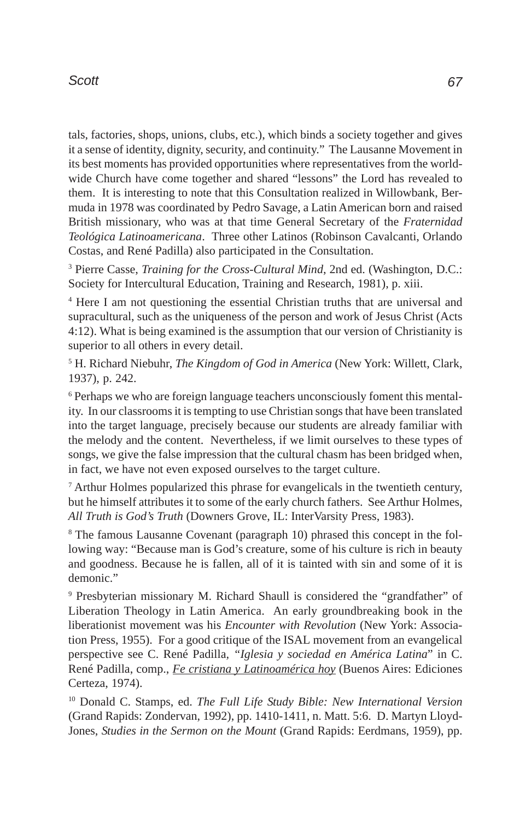tals, factories, shops, unions, clubs, etc.), which binds a society together and gives it a sense of identity, dignity, security, and continuity." The Lausanne Movement in its best moments has provided opportunities where representatives from the worldwide Church have come together and shared "lessons" the Lord has revealed to them. It is interesting to note that this Consultation realized in Willowbank, Bermuda in 1978 was coordinated by Pedro Savage, a Latin American born and raised British missionary, who was at that time General Secretary of the *Fraternidad Teológica Latinoamericana*. Three other Latinos (Robinson Cavalcanti, Orlando Costas, and René Padilla) also participated in the Consultation.

<sup>3</sup> Pierre Casse, *Training for the Cross-Cultural Mind*, 2nd ed. (Washington, D.C.: Society for Intercultural Education, Training and Research, 1981), p. xiii.

4 Here I am not questioning the essential Christian truths that are universal and supracultural, such as the uniqueness of the person and work of Jesus Christ (Acts 4:12). What is being examined is the assumption that our version of Christianity is superior to all others in every detail.

5 H. Richard Niebuhr, *The Kingdom of God in America* (New York: Willett, Clark, 1937), p. 242.

<sup>6</sup> Perhaps we who are foreign language teachers unconsciously foment this mentality. In our classrooms it is tempting to use Christian songs that have been translated into the target language, precisely because our students are already familiar with the melody and the content. Nevertheless, if we limit ourselves to these types of songs, we give the false impression that the cultural chasm has been bridged when, in fact, we have not even exposed ourselves to the target culture.

7 Arthur Holmes popularized this phrase for evangelicals in the twentieth century, but he himself attributes it to some of the early church fathers. See Arthur Holmes, *All Truth is God's Truth* (Downers Grove, IL: InterVarsity Press, 1983).

<sup>8</sup> The famous Lausanne Covenant (paragraph 10) phrased this concept in the following way: "Because man is God's creature, some of his culture is rich in beauty and goodness. Because he is fallen, all of it is tainted with sin and some of it is demonic."

9 Presbyterian missionary M. Richard Shaull is considered the "grandfather" of Liberation Theology in Latin America. An early groundbreaking book in the liberationist movement was his *Encounter with Revolution* (New York: Association Press, 1955). For a good critique of the ISAL movement from an evangelical perspective see C. René Padilla*, "Iglesia y sociedad en América Latina*" in C. René Padilla, comp., *Fe cristiana y Latinoamérica hoy* (Buenos Aires: Ediciones Certeza, 1974).

10 Donald C. Stamps, ed. *The Full Life Study Bible: New International Version* (Grand Rapids: Zondervan, 1992), pp. 1410-1411, n. Matt. 5:6. D. Martyn Lloyd-Jones, *Studies in the Sermon on the Mount* (Grand Rapids: Eerdmans, 1959), pp.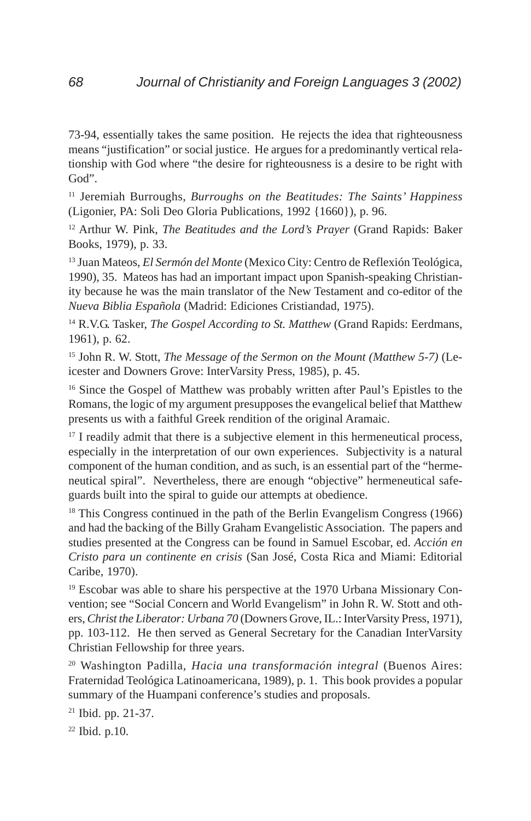73-94, essentially takes the same position. He rejects the idea that righteousness means "justification" or social justice. He argues for a predominantly vertical relationship with God where "the desire for righteousness is a desire to be right with God".

11 Jeremiah Burroughs, *Burroughs on the Beatitudes: The Saints' Happiness* (Ligonier, PA: Soli Deo Gloria Publications, 1992 {1660}), p. 96.

12 Arthur W. Pink, *The Beatitudes and the Lord's Prayer* (Grand Rapids: Baker Books, 1979), p. 33.

13 Juan Mateos, *El Sermón del Monte* (Mexico City: Centro de Reflexión Teológica, 1990), 35. Mateos has had an important impact upon Spanish-speaking Christianity because he was the main translator of the New Testament and co-editor of the *Nueva Biblia Española* (Madrid: Ediciones Cristiandad, 1975).

14 R.V.G. Tasker, *The Gospel According to St. Matthew* (Grand Rapids: Eerdmans, 1961), p. 62.

15 John R. W. Stott, *The Message of the Sermon on the Mount (Matthew 5-7)* (Leicester and Downers Grove: InterVarsity Press, 1985), p. 45.

<sup>16</sup> Since the Gospel of Matthew was probably written after Paul's Epistles to the Romans, the logic of my argument presupposes the evangelical belief that Matthew presents us with a faithful Greek rendition of the original Aramaic.

 $17$  I readily admit that there is a subjective element in this hermeneutical process, especially in the interpretation of our own experiences. Subjectivity is a natural component of the human condition, and as such, is an essential part of the "hermeneutical spiral". Nevertheless, there are enough "objective" hermeneutical safeguards built into the spiral to guide our attempts at obedience.

<sup>18</sup> This Congress continued in the path of the Berlin Evangelism Congress (1966) and had the backing of the Billy Graham Evangelistic Association. The papers and studies presented at the Congress can be found in Samuel Escobar, ed. *Acción en Cristo para un continente en crisis* (San José, Costa Rica and Miami: Editorial Caribe, 1970).

<sup>19</sup> Escobar was able to share his perspective at the 1970 Urbana Missionary Convention; see "Social Concern and World Evangelism" in John R. W. Stott and others, *Christ the Liberator: Urbana 70* (Downers Grove, IL.: InterVarsity Press, 1971), pp. 103-112. He then served as General Secretary for the Canadian InterVarsity Christian Fellowship for three years.

20 Washington Padilla, *Hacia una transformación integral* (Buenos Aires: Fraternidad Teológica Latinoamericana, 1989), p. 1. This book provides a popular summary of the Huampani conference's studies and proposals.

21 Ibid. pp. 21-37.

22 Ibid. p.10.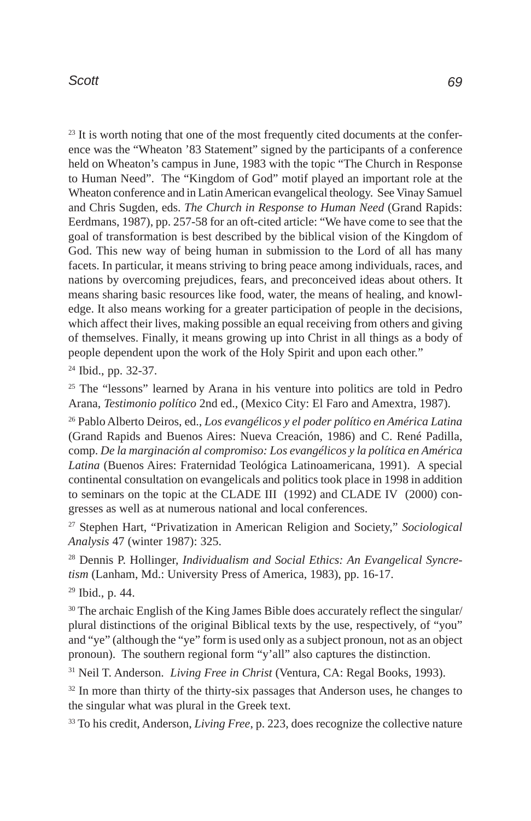<sup>23</sup> It is worth noting that one of the most frequently cited documents at the conference was the "Wheaton '83 Statement" signed by the participants of a conference held on Wheaton's campus in June, 1983 with the topic "The Church in Response to Human Need". The "Kingdom of God" motif played an important role at the Wheaton conference and in Latin American evangelical theology. See Vinay Samuel and Chris Sugden, eds. *The Church in Response to Human Need* (Grand Rapids: Eerdmans, 1987), pp. 257-58 for an oft-cited article: "We have come to see that the goal of transformation is best described by the biblical vision of the Kingdom of God. This new way of being human in submission to the Lord of all has many facets. In particular, it means striving to bring peace among individuals, races, and nations by overcoming prejudices, fears, and preconceived ideas about others. It means sharing basic resources like food, water, the means of healing, and knowledge. It also means working for a greater participation of people in the decisions, which affect their lives, making possible an equal receiving from others and giving of themselves. Finally, it means growing up into Christ in all things as a body of people dependent upon the work of the Holy Spirit and upon each other."

24 Ibid., pp. 32-37.

<sup>25</sup> The "lessons" learned by Arana in his venture into politics are told in Pedro Arana, *Testimonio político* 2nd ed., (Mexico City: El Faro and Amextra, 1987).

26 Pablo Alberto Deiros, ed., *Los evangélicos y el poder político en América Latina* (Grand Rapids and Buenos Aires: Nueva Creación, 1986) and C. René Padilla, comp. *De la marginación al compromiso: Los evangélicos y la política en América Latina* (Buenos Aires: Fraternidad Teológica Latinoamericana, 1991). A special continental consultation on evangelicals and politics took place in 1998 in addition to seminars on the topic at the CLADE III (1992) and CLADE IV (2000) congresses as well as at numerous national and local conferences.

27 Stephen Hart, "Privatization in American Religion and Society," *Sociological Analysis* 47 (winter 1987): 325.

28 Dennis P. Hollinger, *Individualism and Social Ethics: An Evangelical Syncretism* (Lanham, Md.: University Press of America, 1983), pp. 16-17.

29 Ibid., p. 44.

<sup>30</sup> The archaic English of the King James Bible does accurately reflect the singular/ plural distinctions of the original Biblical texts by the use, respectively, of "you" and "ye" (although the "ye" form is used only as a subject pronoun, not as an object pronoun). The southern regional form "y'all" also captures the distinction.

31 Neil T. Anderson. *Living Free in Christ* (Ventura, CA: Regal Books, 1993).

<sup>32</sup> In more than thirty of the thirty-six passages that Anderson uses, he changes to the singular what was plural in the Greek text.

33 To his credit, Anderson, *Living Free*, p. 223, does recognize the collective nature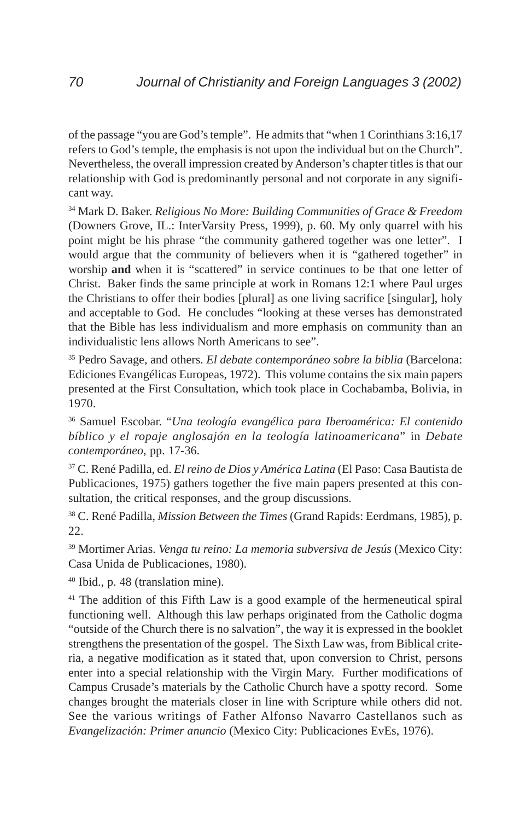of the passage "you are God's temple". He admits that "when 1 Corinthians 3:16,17 refers to God's temple, the emphasis is not upon the individual but on the Church". Nevertheless, the overall impression created by Anderson's chapter titles is that our relationship with God is predominantly personal and not corporate in any significant way.

34 Mark D. Baker. *Religious No More: Building Communities of Grace & Freedom* (Downers Grove, IL.: InterVarsity Press, 1999), p. 60. My only quarrel with his point might be his phrase "the community gathered together was one letter". I would argue that the community of believers when it is "gathered together" in worship **and** when it is "scattered" in service continues to be that one letter of Christ. Baker finds the same principle at work in Romans 12:1 where Paul urges the Christians to offer their bodies [plural] as one living sacrifice [singular], holy and acceptable to God. He concludes "looking at these verses has demonstrated that the Bible has less individualism and more emphasis on community than an individualistic lens allows North Americans to see".

35 Pedro Savage, and others. *El debate contemporáneo sobre la biblia* (Barcelona: Ediciones Evangélicas Europeas, 1972). This volume contains the six main papers presented at the First Consultation, which took place in Cochabamba, Bolivia, in 1970.

36 Samuel Escobar. "*Una teología evangélica para Iberoamérica: El contenido bíblico y el ropaje anglosajón en la teología latinoamericana*" in *Debate contemporáneo*, pp. 17-36.

37 C. René Padilla, ed. *El reino de Dios y América Latina* (El Paso: Casa Bautista de Publicaciones, 1975) gathers together the five main papers presented at this consultation, the critical responses, and the group discussions.

38 C. René Padilla, *Mission Between the Times* (Grand Rapids: Eerdmans, 1985), p. 22.

39 Mortimer Arias. *Venga tu reino: La memoria subversiva de Jesús* (Mexico City: Casa Unida de Publicaciones, 1980).

40 Ibid., p. 48 (translation mine).

<sup>41</sup> The addition of this Fifth Law is a good example of the hermeneutical spiral functioning well. Although this law perhaps originated from the Catholic dogma "outside of the Church there is no salvation", the way it is expressed in the booklet strengthens the presentation of the gospel. The Sixth Law was, from Biblical criteria, a negative modification as it stated that, upon conversion to Christ, persons enter into a special relationship with the Virgin Mary. Further modifications of Campus Crusade's materials by the Catholic Church have a spotty record. Some changes brought the materials closer in line with Scripture while others did not. See the various writings of Father Alfonso Navarro Castellanos such as *Evangelización: Primer anuncio* (Mexico City: Publicaciones EvEs, 1976).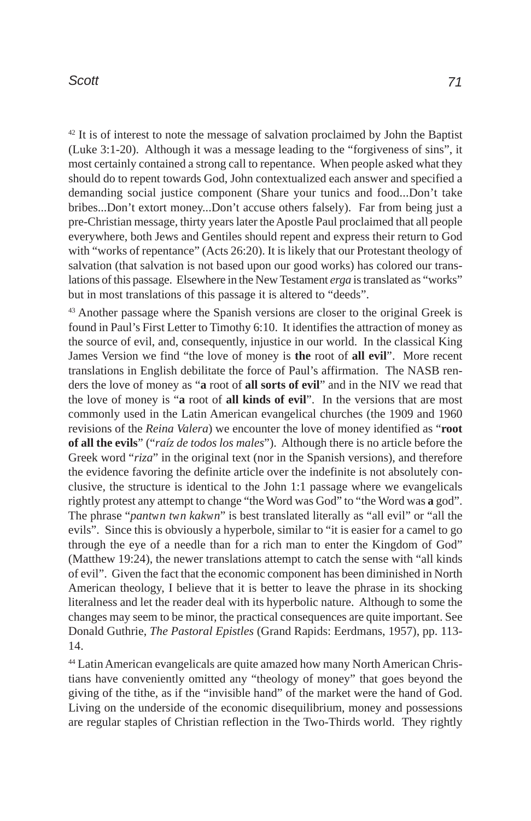<sup>42</sup> It is of interest to note the message of salvation proclaimed by John the Baptist (Luke 3:1-20). Although it was a message leading to the "forgiveness of sins", it most certainly contained a strong call to repentance. When people asked what they should do to repent towards God, John contextualized each answer and specified a demanding social justice component (Share your tunics and food...Don't take bribes...Don't extort money...Don't accuse others falsely). Far from being just a pre-Christian message, thirty years later the Apostle Paul proclaimed that all people everywhere, both Jews and Gentiles should repent and express their return to God with "works of repentance" (Acts 26:20). It is likely that our Protestant theology of salvation (that salvation is not based upon our good works) has colored our translations of this passage. Elsewhere in the New Testament *erga* is translated as "works" but in most translations of this passage it is altered to "deeds".

43 Another passage where the Spanish versions are closer to the original Greek is found in Paul's First Letter to Timothy 6:10. It identifies the attraction of money as the source of evil, and, consequently, injustice in our world. In the classical King James Version we find "the love of money is **the** root of **all evil**". More recent translations in English debilitate the force of Paul's affirmation. The NASB renders the love of money as "**a** root of **all sorts of evil**" and in the NIV we read that the love of money is "**a** root of **all kinds of evil**". In the versions that are most commonly used in the Latin American evangelical churches (the 1909 and 1960 revisions of the *Reina Valera*) we encounter the love of money identified as "**root of all the evils**" ("*raíz de todos los males*"). Although there is no article before the Greek word "*riza*" in the original text (nor in the Spanish versions), and therefore the evidence favoring the definite article over the indefinite is not absolutely conclusive, the structure is identical to the John 1:1 passage where we evangelicals rightly protest any attempt to change "the Word was God" to "the Word was **a** god". The phrase "*pant*w*n t*w*n kak*w*n*" is best translated literally as "all evil" or "all the evils". Since this is obviously a hyperbole, similar to "it is easier for a camel to go through the eye of a needle than for a rich man to enter the Kingdom of God" (Matthew 19:24), the newer translations attempt to catch the sense with "all kinds of evil". Given the fact that the economic component has been diminished in North American theology, I believe that it is better to leave the phrase in its shocking literalness and let the reader deal with its hyperbolic nature. Although to some the changes may seem to be minor, the practical consequences are quite important. See Donald Guthrie, *The Pastoral Epistles* (Grand Rapids: Eerdmans, 1957), pp. 113- 14.

44 Latin American evangelicals are quite amazed how many North American Christians have conveniently omitted any "theology of money" that goes beyond the giving of the tithe, as if the "invisible hand" of the market were the hand of God. Living on the underside of the economic disequilibrium, money and possessions are regular staples of Christian reflection in the Two-Thirds world. They rightly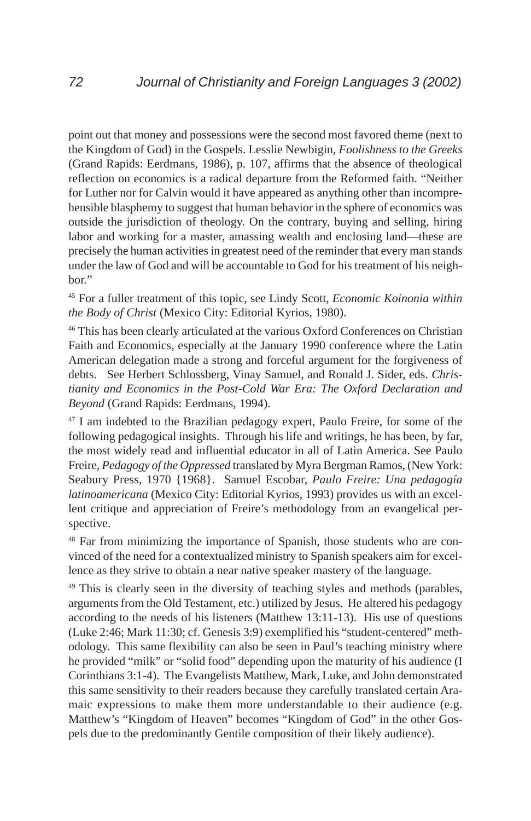point out that money and possessions were the second most favored theme (next to the Kingdom of God) in the Gospels. Lesslie Newbigin, *Foolishness to the Greeks* (Grand Rapids: Eerdmans, 1986), p. 107, affirms that the absence of theological reflection on economics is a radical departure from the Reformed faith. "Neither for Luther nor for Calvin would it have appeared as anything other than incomprehensible blasphemy to suggest that human behavior in the sphere of economics was outside the jurisdiction of theology. On the contrary, buying and selling, hiring labor and working for a master, amassing wealth and enclosing land—these are precisely the human activities in greatest need of the reminder that every man stands under the law of God and will be accountable to God for his treatment of his neighbor."

45 For a fuller treatment of this topic, see Lindy Scott, *Economic Koinonia within the Body of Christ* (Mexico City: Editorial Kyrios, 1980).

46 This has been clearly articulated at the various Oxford Conferences on Christian Faith and Economics, especially at the January 1990 conference where the Latin American delegation made a strong and forceful argument for the forgiveness of debts. See Herbert Schlossberg, Vinay Samuel, and Ronald J. Sider, eds. *Christianity and Economics in the Post-Cold War Era: The Oxford Declaration and Beyond* (Grand Rapids: Eerdmans, 1994).

<sup>47</sup> I am indebted to the Brazilian pedagogy expert, Paulo Freire, for some of the following pedagogical insights. Through his life and writings, he has been, by far, the most widely read and influential educator in all of Latin America. See Paulo Freire, *Pedagogy of the Oppressed* translated by Myra Bergman Ramos, (New York: Seabury Press, 1970 {1968}. Samuel Escobar, *Paulo Freire: Una pedagogía latinoamericana* (Mexico City: Editorial Kyrios, 1993) provides us with an excellent critique and appreciation of Freire's methodology from an evangelical perspective.

48 Far from minimizing the importance of Spanish, those students who are convinced of the need for a contextualized ministry to Spanish speakers aim for excellence as they strive to obtain a near native speaker mastery of the language.

<sup>49</sup> This is clearly seen in the diversity of teaching styles and methods (parables, arguments from the Old Testament, etc.) utilized by Jesus. He altered his pedagogy according to the needs of his listeners (Matthew 13:11-13). His use of questions (Luke 2:46; Mark 11:30; cf. Genesis 3:9) exemplified his "student-centered" methodology. This same flexibility can also be seen in Paul's teaching ministry where he provided "milk" or "solid food" depending upon the maturity of his audience (I Corinthians 3:1-4). The Evangelists Matthew, Mark, Luke, and John demonstrated this same sensitivity to their readers because they carefully translated certain Aramaic expressions to make them more understandable to their audience (e.g. Matthew's "Kingdom of Heaven" becomes "Kingdom of God" in the other Gospels due to the predominantly Gentile composition of their likely audience).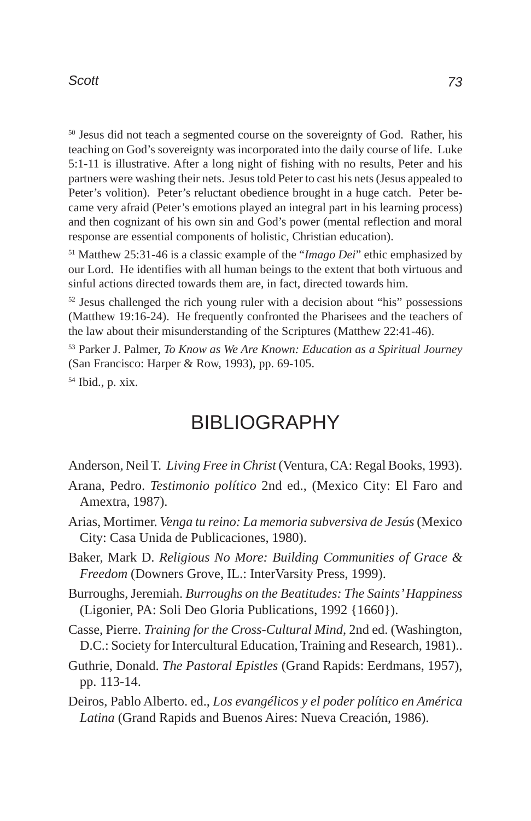50 Jesus did not teach a segmented course on the sovereignty of God. Rather, his teaching on God's sovereignty was incorporated into the daily course of life. Luke 5:1-11 is illustrative. After a long night of fishing with no results, Peter and his partners were washing their nets. Jesus told Peter to cast his nets (Jesus appealed to Peter's volition). Peter's reluctant obedience brought in a huge catch. Peter became very afraid (Peter's emotions played an integral part in his learning process) and then cognizant of his own sin and God's power (mental reflection and moral response are essential components of holistic, Christian education).

51 Matthew 25:31-46 is a classic example of the "*Imago Dei*" ethic emphasized by our Lord. He identifies with all human beings to the extent that both virtuous and sinful actions directed towards them are, in fact, directed towards him.

 $52$  Jesus challenged the rich young ruler with a decision about "his" possessions (Matthew 19:16-24). He frequently confronted the Pharisees and the teachers of the law about their misunderstanding of the Scriptures (Matthew 22:41-46).

53 Parker J. Palmer, *To Know as We Are Known: Education as a Spiritual Journey* (San Francisco: Harper & Row, 1993), pp. 69-105.

54 Ibid., p. xix.

# **BIBLIOGRAPHY**

Anderson, Neil T. *Living Free in Christ* (Ventura, CA: Regal Books, 1993).

- Arana, Pedro. *Testimonio político* 2nd ed., (Mexico City: El Faro and Amextra, 1987).
- Arias, Mortimer. *Venga tu reino: La memoria subversiva de Jesús* (Mexico City: Casa Unida de Publicaciones, 1980).
- Baker, Mark D. *Religious No More: Building Communities of Grace & Freedom* (Downers Grove, IL.: InterVarsity Press, 1999).
- Burroughs, Jeremiah. *Burroughs on the Beatitudes: The Saints' Happiness* (Ligonier, PA: Soli Deo Gloria Publications, 1992 {1660}).
- Casse, Pierre. *Training for the Cross-Cultural Mind*, 2nd ed. (Washington, D.C.: Society for Intercultural Education, Training and Research, 1981)..
- Guthrie, Donald. *The Pastoral Epistles* (Grand Rapids: Eerdmans, 1957), pp. 113-14.
- Deiros, Pablo Alberto. ed., *Los evangélicos y el poder político en América Latina* (Grand Rapids and Buenos Aires: Nueva Creación, 1986).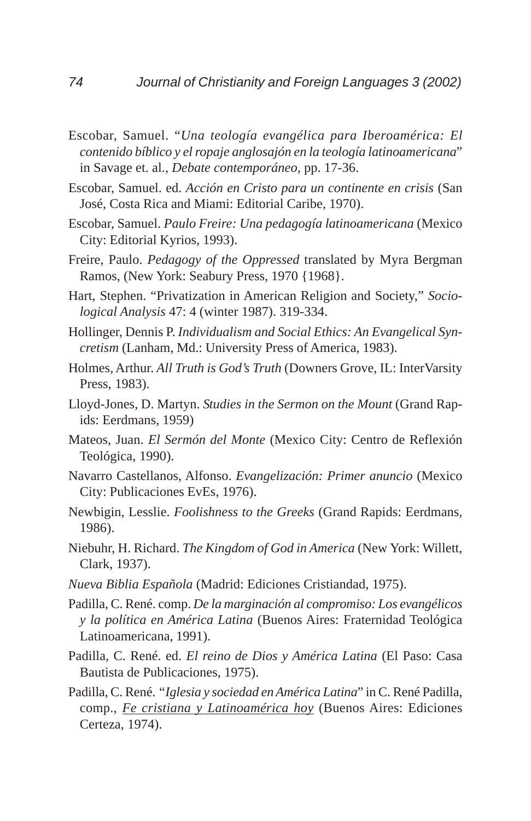- Escobar, Samuel. "*Una teología evangélica para Iberoamérica: El contenido bíblico y el ropaje anglosajón en la teología latinoamericana*" in Savage et. al., *Debate contemporáneo*, pp. 17-36.
- Escobar, Samuel. ed. *Acción en Cristo para un continente en crisis* (San José, Costa Rica and Miami: Editorial Caribe, 1970).
- Escobar, Samuel. *Paulo Freire: Una pedagogía latinoamericana* (Mexico City: Editorial Kyrios, 1993).
- Freire, Paulo. *Pedagogy of the Oppressed* translated by Myra Bergman Ramos, (New York: Seabury Press, 1970 {1968}.
- Hart, Stephen. "Privatization in American Religion and Society," *Sociological Analysis* 47: 4 (winter 1987). 319-334.
- Hollinger, Dennis P. *Individualism and Social Ethics: An Evangelical Syncretism* (Lanham, Md.: University Press of America, 1983).
- Holmes, Arthur. *All Truth is God's Truth* (Downers Grove, IL: InterVarsity Press, 1983).
- Lloyd-Jones, D. Martyn. *Studies in the Sermon on the Mount* (Grand Rapids: Eerdmans, 1959)
- Mateos, Juan. *El Sermón del Monte* (Mexico City: Centro de Reflexión Teológica, 1990).
- Navarro Castellanos, Alfonso. *Evangelización: Primer anuncio* (Mexico City: Publicaciones EvEs, 1976).
- Newbigin, Lesslie. *Foolishness to the Greeks* (Grand Rapids: Eerdmans, 1986).
- Niebuhr, H. Richard. *The Kingdom of God in America* (New York: Willett, Clark, 1937).
- *Nueva Biblia Española* (Madrid: Ediciones Cristiandad, 1975).
- Padilla, C. René. comp. *De la marginación al compromiso: Los evangélicos y la política en América Latina* (Buenos Aires: Fraternidad Teológica Latinoamericana, 1991).
- Padilla, C. René. ed. *El reino de Dios y América Latina* (El Paso: Casa Bautista de Publicaciones, 1975).
- Padilla, C. René. *"Iglesia y sociedad en América Latina*" in C. René Padilla, comp., *Fe cristiana y Latinoamérica hoy* (Buenos Aires: Ediciones Certeza, 1974).